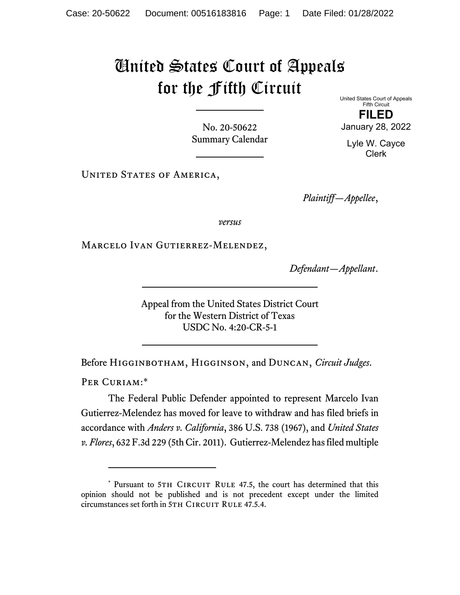## United States Court of Appeals for the Fifth Circuit

No. 20-50622 Summary Calendar United States Court of Appeals Fifth Circuit **FILED**  January 28, 2022

Lyle W. Cayce Clerk

UNITED STATES OF AMERICA,

*Plaintiff—Appellee*,

*versus*

Marcelo Ivan Gutierrez-Melendez,

*Defendant—Appellant*.

Appeal from the United States District Court for the Western District of Texas USDC No. 4:20-CR-5-1

Before Higginbotham, Higginson, and Duncan, *Circuit Judges*.

PER CURIAM:\*

The Federal Public Defender appointed to represent Marcelo Ivan Gutierrez-Melendez has moved for leave to withdraw and has filed briefs in accordance with *Anders v. California*, 386 U.S. 738 (1967), and *United States v. Flores*, 632 F.3d 229 (5th Cir. 2011). Gutierrez-Melendez has filed multiple

<sup>\*</sup> Pursuant to 5TH CIRCUIT RULE 47.5, the court has determined that this opinion should not be published and is not precedent except under the limited circumstances set forth in 5TH CIRCUIT RULE 47.5.4.